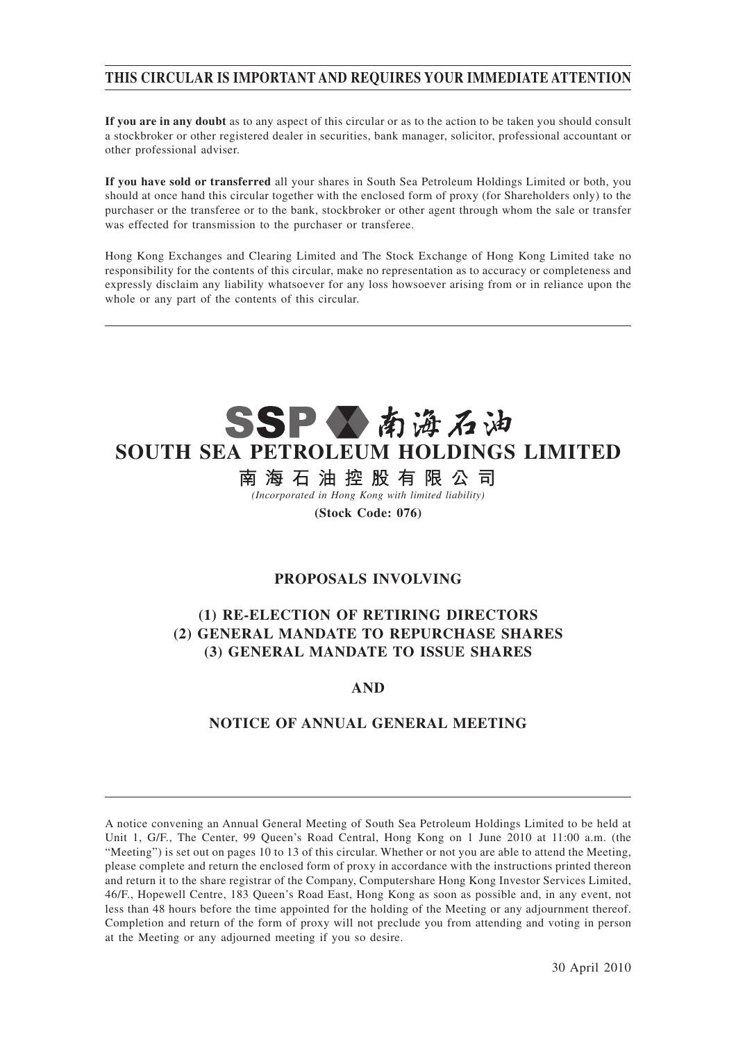# **THIS CIRCULAR IS IMPORTANT AND REQUIRES YOUR IMMEDIATE ATTENTION**

**If you are in any doubt** as to any aspect of this circular or as to the action to be taken you should consult a stockbroker or other registered dealer in securities, bank manager, solicitor, professional accountant or other professional adviser.

**If you have sold or transferred** all your shares in South Sea Petroleum Holdings Limited or both, you should at once hand this circular together with the enclosed form of proxy (for Shareholders only) to the purchaser or the transferee or to the bank, stockbroker or other agent through whom the sale or transfer was effected for transmission to the purchaser or transferee.

Hong Kong Exchanges and Clearing Limited and The Stock Exchange of Hong Kong Limited take no responsibility for the contents of this circular, make no representation as to accuracy or completeness and expressly disclaim any liability whatsoever for any loss howsoever arising from or in reliance upon the whole or any part of the contents of this circular.

# SSP公南海石油 **SOUTH SEA PETROLEUM HOLDINGS LIMITED**

南海石油控股有限公司 *(Incorporated in Hong Kong with limited liability)*

**(Stock Code: 076)**

# **PROPOSALS INVOLVING**

# **(1) RE-ELECTION OF RETIRING DIRECTORS (2) GENERAL MANDATE TO REPURCHASE SHARES (3) GENERAL MANDATE TO ISSUE SHARES**

# **AND**

# **NOTICE OF ANNUAL GENERAL MEETING**

A notice convening an Annual General Meeting of South Sea Petroleum Holdings Limited to be held at Unit 1, G/F., The Center, 99 Queen's Road Central, Hong Kong on 1 June 2010 at 11:00 a.m. (the "Meeting") is set out on pages 10 to 13 of this circular. Whether or not you are able to attend the Meeting, please complete and return the enclosed form of proxy in accordance with the instructions printed thereon and return it to the share registrar of the Company, Computershare Hong Kong Investor Services Limited, 46/F., Hopewell Centre, 183 Queen's Road East, Hong Kong as soon as possible and, in any event, not less than 48 hours before the time appointed for the holding of the Meeting or any adjournment thereof. Completion and return of the form of proxy will not preclude you from attending and voting in person at the Meeting or any adjourned meeting if you so desire.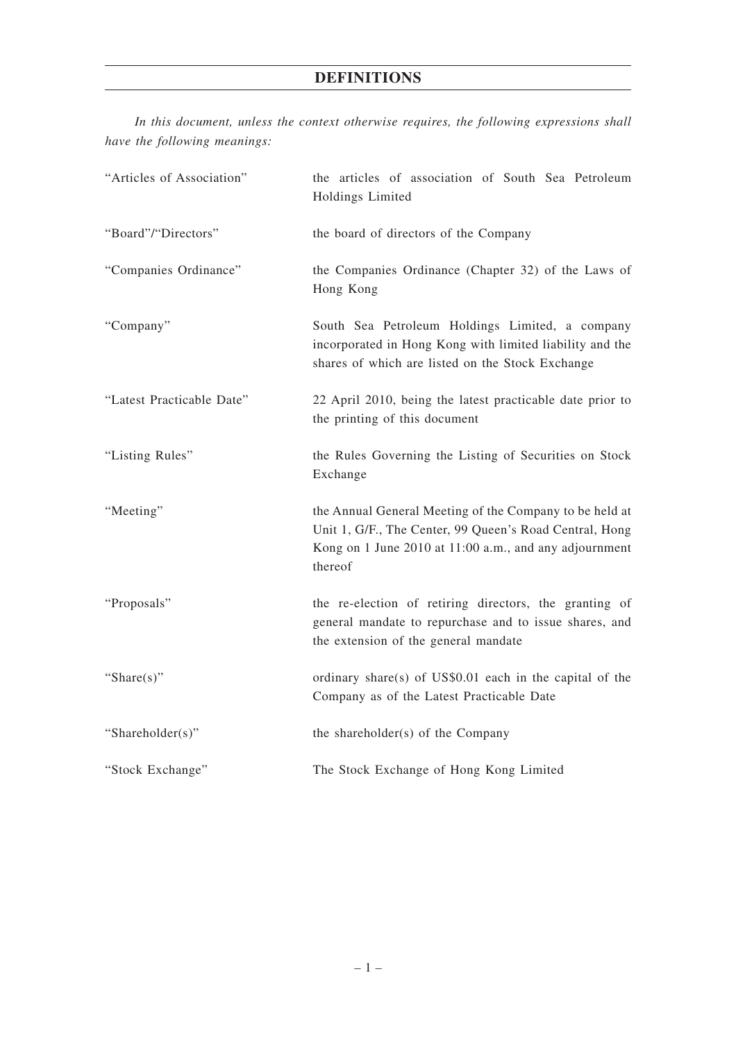# **DEFINITIONS**

*In this document, unless the context otherwise requires, the following expressions shall have the following meanings:*

| "Articles of Association" | the articles of association of South Sea Petroleum<br>Holdings Limited                                                                                                                  |  |
|---------------------------|-----------------------------------------------------------------------------------------------------------------------------------------------------------------------------------------|--|
| "Board"/"Directors"       | the board of directors of the Company                                                                                                                                                   |  |
| "Companies Ordinance"     | the Companies Ordinance (Chapter 32) of the Laws of<br>Hong Kong                                                                                                                        |  |
| "Company"                 | South Sea Petroleum Holdings Limited, a company<br>incorporated in Hong Kong with limited liability and the<br>shares of which are listed on the Stock Exchange                         |  |
| "Latest Practicable Date" | 22 April 2010, being the latest practicable date prior to<br>the printing of this document                                                                                              |  |
| "Listing Rules"           | the Rules Governing the Listing of Securities on Stock<br>Exchange                                                                                                                      |  |
| "Meeting"                 | the Annual General Meeting of the Company to be held at<br>Unit 1, G/F., The Center, 99 Queen's Road Central, Hong<br>Kong on 1 June 2010 at 11:00 a.m., and any adjournment<br>thereof |  |
| "Proposals"               | the re-election of retiring directors, the granting of<br>general mandate to repurchase and to issue shares, and<br>the extension of the general mandate                                |  |
| "Share $(s)$ "            | ordinary share(s) of US\$0.01 each in the capital of the<br>Company as of the Latest Practicable Date                                                                                   |  |
| "Shareholder(s)"          | the shareholder(s) of the Company                                                                                                                                                       |  |
| "Stock Exchange"          | The Stock Exchange of Hong Kong Limited                                                                                                                                                 |  |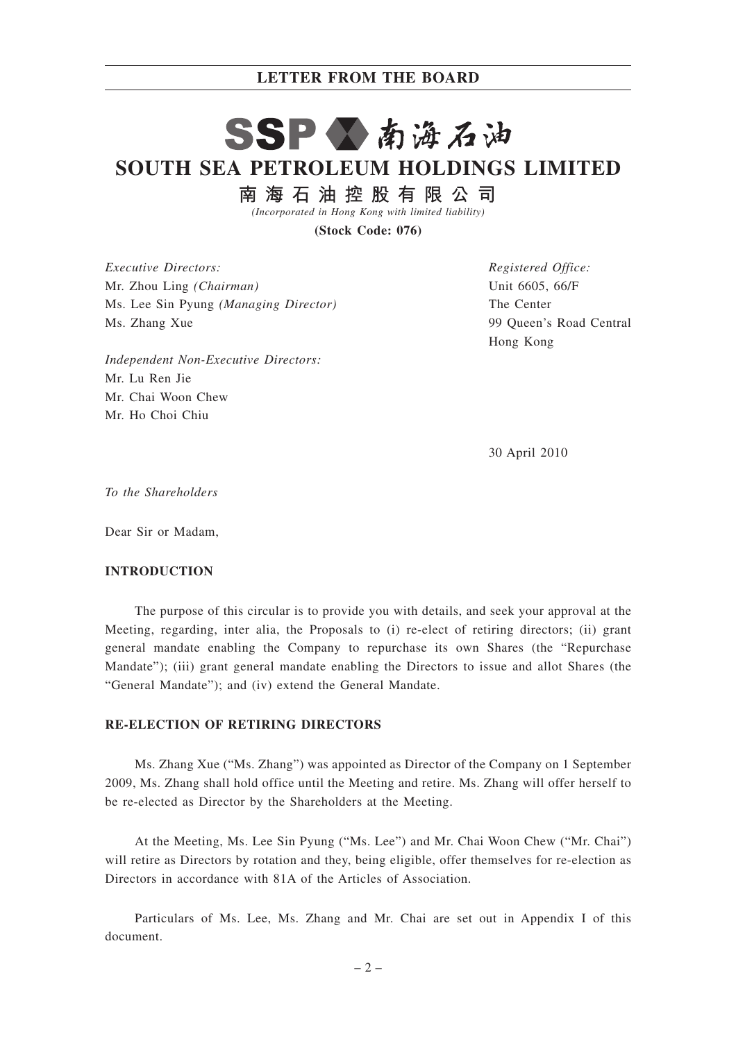#### **LETTER FROM THE BOARD**

# SSP公南海石油 **SOUTH SEA PETROLEUM HOLDINGS LIMITED**

南海石油控股有限公司

*(Incorporated in Hong Kong with limited liability)*

**(Stock Code: 076)**

*Executive Directors:* Mr. Zhou Ling *(Chairman)* Ms. Lee Sin Pyung *(Managing Director)* Ms. Zhang Xue

*Independent Non-Executive Directors:* Mr. Lu Ren Jie Mr. Chai Woon Chew Mr. Ho Choi Chiu

*Registered Office:* Unit 6605, 66/F The Center 99 Queen's Road Central Hong Kong

30 April 2010

*To the Shareholders*

Dear Sir or Madam,

#### **INTRODUCTION**

The purpose of this circular is to provide you with details, and seek your approval at the Meeting, regarding, inter alia, the Proposals to (i) re-elect of retiring directors; (ii) grant general mandate enabling the Company to repurchase its own Shares (the "Repurchase Mandate"); (iii) grant general mandate enabling the Directors to issue and allot Shares (the "General Mandate"); and (iv) extend the General Mandate.

### **RE-ELECTION OF RETIRING DIRECTORS**

Ms. Zhang Xue ("Ms. Zhang") was appointed as Director of the Company on 1 September 2009, Ms. Zhang shall hold office until the Meeting and retire. Ms. Zhang will offer herself to be re-elected as Director by the Shareholders at the Meeting.

At the Meeting, Ms. Lee Sin Pyung ("Ms. Lee") and Mr. Chai Woon Chew ("Mr. Chai") will retire as Directors by rotation and they, being eligible, offer themselves for re-election as Directors in accordance with 81A of the Articles of Association.

Particulars of Ms. Lee, Ms. Zhang and Mr. Chai are set out in Appendix I of this document.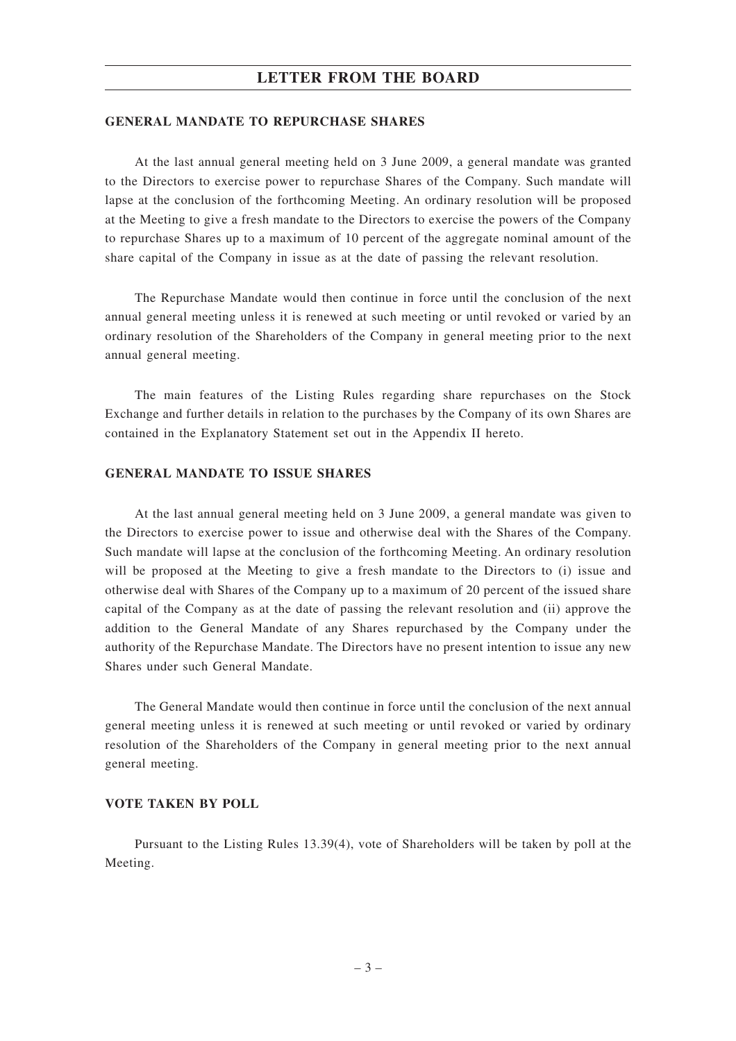## **LETTER FROM THE BOARD**

#### **GENERAL MANDATE TO REPURCHASE SHARES**

At the last annual general meeting held on 3 June 2009, a general mandate was granted to the Directors to exercise power to repurchase Shares of the Company. Such mandate will lapse at the conclusion of the forthcoming Meeting. An ordinary resolution will be proposed at the Meeting to give a fresh mandate to the Directors to exercise the powers of the Company to repurchase Shares up to a maximum of 10 percent of the aggregate nominal amount of the share capital of the Company in issue as at the date of passing the relevant resolution.

The Repurchase Mandate would then continue in force until the conclusion of the next annual general meeting unless it is renewed at such meeting or until revoked or varied by an ordinary resolution of the Shareholders of the Company in general meeting prior to the next annual general meeting.

The main features of the Listing Rules regarding share repurchases on the Stock Exchange and further details in relation to the purchases by the Company of its own Shares are contained in the Explanatory Statement set out in the Appendix II hereto.

#### **GENERAL MANDATE TO ISSUE SHARES**

At the last annual general meeting held on 3 June 2009, a general mandate was given to the Directors to exercise power to issue and otherwise deal with the Shares of the Company. Such mandate will lapse at the conclusion of the forthcoming Meeting. An ordinary resolution will be proposed at the Meeting to give a fresh mandate to the Directors to (i) issue and otherwise deal with Shares of the Company up to a maximum of 20 percent of the issued share capital of the Company as at the date of passing the relevant resolution and (ii) approve the addition to the General Mandate of any Shares repurchased by the Company under the authority of the Repurchase Mandate. The Directors have no present intention to issue any new Shares under such General Mandate.

The General Mandate would then continue in force until the conclusion of the next annual general meeting unless it is renewed at such meeting or until revoked or varied by ordinary resolution of the Shareholders of the Company in general meeting prior to the next annual general meeting.

#### **VOTE TAKEN BY POLL**

Pursuant to the Listing Rules 13.39(4), vote of Shareholders will be taken by poll at the Meeting.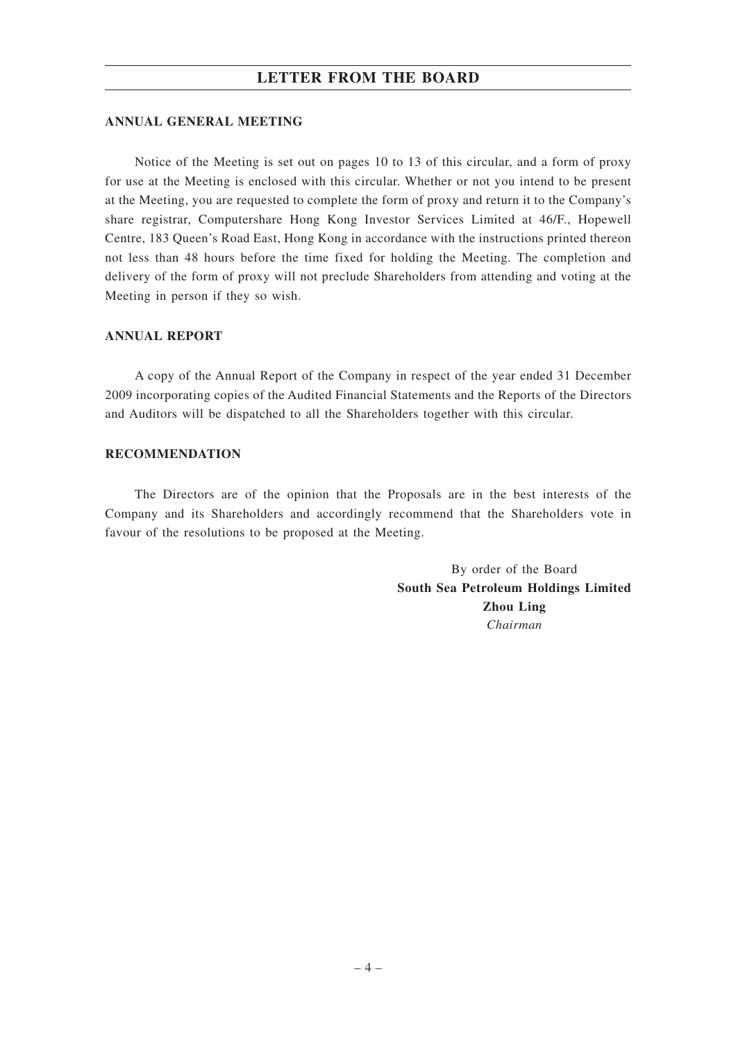## **LETTER FROM THE BOARD**

#### **ANNUAL GENERAL MEETING**

Notice of the Meeting is set out on pages 10 to 13 of this circular, and a form of proxy for use at the Meeting is enclosed with this circular. Whether or not you intend to be present at the Meeting, you are requested to complete the form of proxy and return it to the Company's share registrar, Computershare Hong Kong Investor Services Limited at 46/F., Hopewell Centre, 183 Queen's Road East, Hong Kong in accordance with the instructions printed thereon not less than 48 hours before the time fixed for holding the Meeting. The completion and delivery of the form of proxy will not preclude Shareholders from attending and voting at the Meeting in person if they so wish.

#### **ANNUAL REPORT**

A copy of the Annual Report of the Company in respect of the year ended 31 December 2009 incorporating copies of the Audited Financial Statements and the Reports of the Directors and Auditors will be dispatched to all the Shareholders together with this circular.

#### **RECOMMENDATION**

The Directors are of the opinion that the Proposals are in the best interests of the Company and its Shareholders and accordingly recommend that the Shareholders vote in favour of the resolutions to be proposed at the Meeting.

> By order of the Board **South Sea Petroleum Holdings Limited Zhou Ling** *Chairman*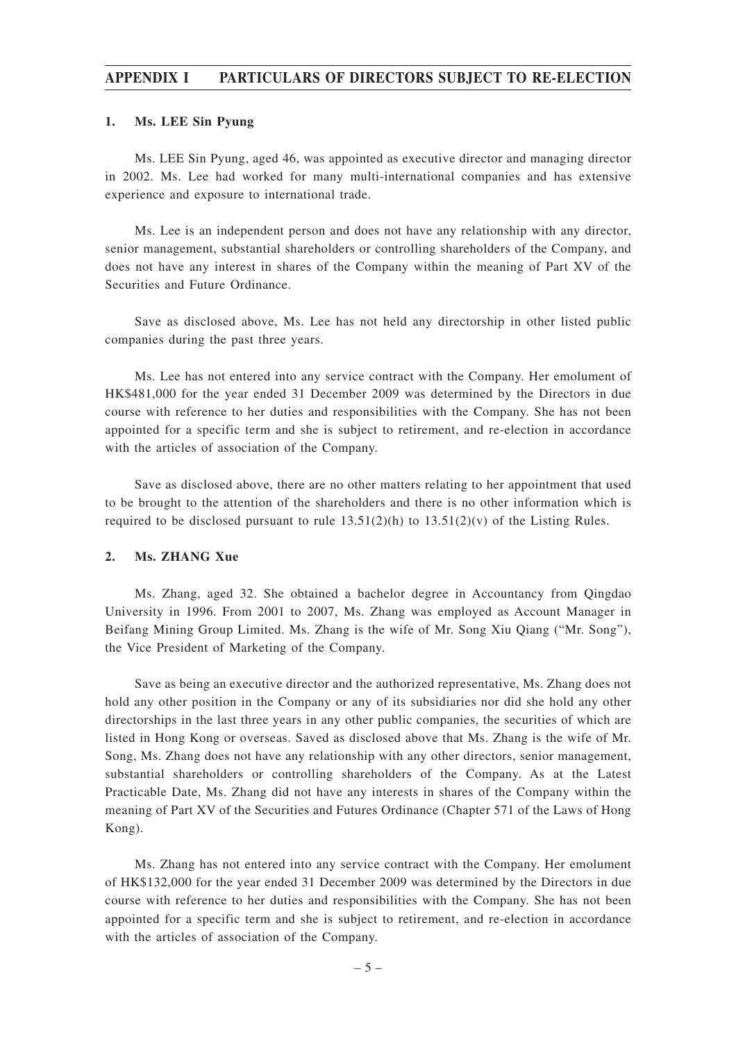#### **APPENDIX I PARTICULARS OF DIRECTORS SUBJECT TO RE-ELECTION**

#### **1. Ms. LEE Sin Pyung**

Ms. LEE Sin Pyung, aged 46, was appointed as executive director and managing director in 2002. Ms. Lee had worked for many multi-international companies and has extensive experience and exposure to international trade.

Ms. Lee is an independent person and does not have any relationship with any director, senior management, substantial shareholders or controlling shareholders of the Company, and does not have any interest in shares of the Company within the meaning of Part XV of the Securities and Future Ordinance.

Save as disclosed above, Ms. Lee has not held any directorship in other listed public companies during the past three years.

Ms. Lee has not entered into any service contract with the Company. Her emolument of HK\$481,000 for the year ended 31 December 2009 was determined by the Directors in due course with reference to her duties and responsibilities with the Company. She has not been appointed for a specific term and she is subject to retirement, and re-election in accordance with the articles of association of the Company.

Save as disclosed above, there are no other matters relating to her appointment that used to be brought to the attention of the shareholders and there is no other information which is required to be disclosed pursuant to rule  $13.51(2)(h)$  to  $13.51(2)(v)$  of the Listing Rules.

#### **2. Ms. ZHANG Xue**

Ms. Zhang, aged 32. She obtained a bachelor degree in Accountancy from Qingdao University in 1996. From 2001 to 2007, Ms. Zhang was employed as Account Manager in Beifang Mining Group Limited. Ms. Zhang is the wife of Mr. Song Xiu Qiang ("Mr. Song"), the Vice President of Marketing of the Company.

Save as being an executive director and the authorized representative, Ms. Zhang does not hold any other position in the Company or any of its subsidiaries nor did she hold any other directorships in the last three years in any other public companies, the securities of which are listed in Hong Kong or overseas. Saved as disclosed above that Ms. Zhang is the wife of Mr. Song, Ms. Zhang does not have any relationship with any other directors, senior management, substantial shareholders or controlling shareholders of the Company. As at the Latest Practicable Date, Ms. Zhang did not have any interests in shares of the Company within the meaning of Part XV of the Securities and Futures Ordinance (Chapter 571 of the Laws of Hong Kong).

Ms. Zhang has not entered into any service contract with the Company. Her emolument of HK\$132,000 for the year ended 31 December 2009 was determined by the Directors in due course with reference to her duties and responsibilities with the Company. She has not been appointed for a specific term and she is subject to retirement, and re-election in accordance with the articles of association of the Company.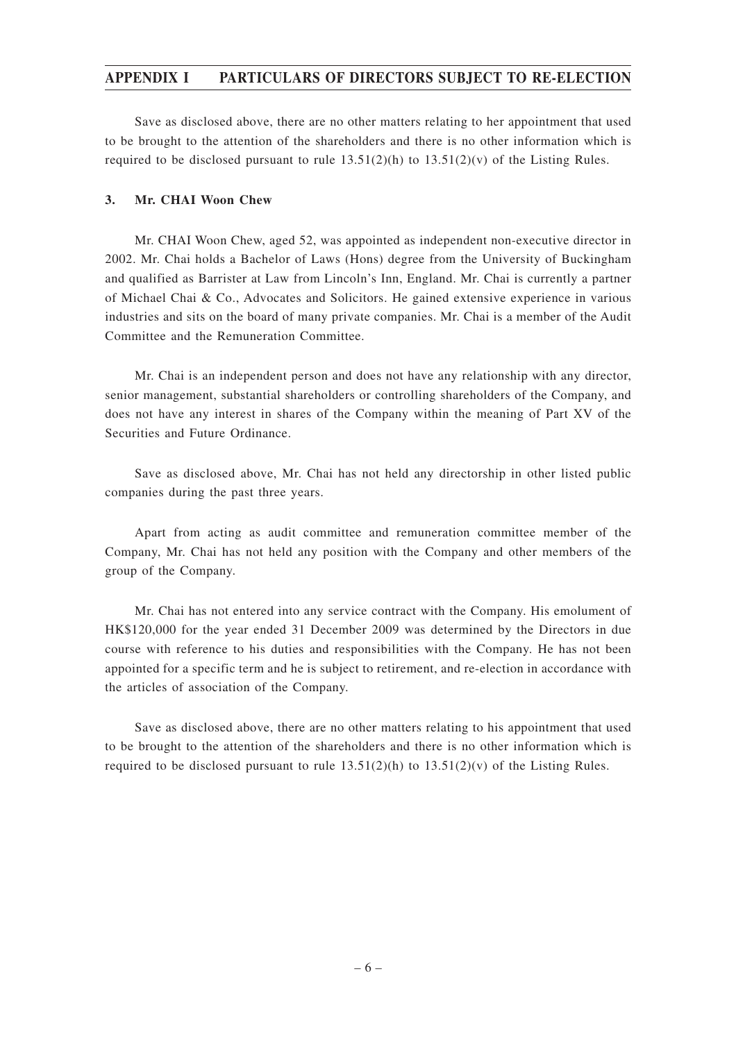### **APPENDIX I PARTICULARS OF DIRECTORS SUBJECT TO RE-ELECTION**

Save as disclosed above, there are no other matters relating to her appointment that used to be brought to the attention of the shareholders and there is no other information which is required to be disclosed pursuant to rule  $13.51(2)(h)$  to  $13.51(2)(v)$  of the Listing Rules.

#### **3. Mr. CHAI Woon Chew**

Mr. CHAI Woon Chew, aged 52, was appointed as independent non-executive director in 2002. Mr. Chai holds a Bachelor of Laws (Hons) degree from the University of Buckingham and qualified as Barrister at Law from Lincoln's Inn, England. Mr. Chai is currently a partner of Michael Chai & Co., Advocates and Solicitors. He gained extensive experience in various industries and sits on the board of many private companies. Mr. Chai is a member of the Audit Committee and the Remuneration Committee.

Mr. Chai is an independent person and does not have any relationship with any director, senior management, substantial shareholders or controlling shareholders of the Company, and does not have any interest in shares of the Company within the meaning of Part XV of the Securities and Future Ordinance.

Save as disclosed above, Mr. Chai has not held any directorship in other listed public companies during the past three years.

Apart from acting as audit committee and remuneration committee member of the Company, Mr. Chai has not held any position with the Company and other members of the group of the Company.

Mr. Chai has not entered into any service contract with the Company. His emolument of HK\$120,000 for the year ended 31 December 2009 was determined by the Directors in due course with reference to his duties and responsibilities with the Company. He has not been appointed for a specific term and he is subject to retirement, and re-election in accordance with the articles of association of the Company.

Save as disclosed above, there are no other matters relating to his appointment that used to be brought to the attention of the shareholders and there is no other information which is required to be disclosed pursuant to rule  $13.51(2)(h)$  to  $13.51(2)(v)$  of the Listing Rules.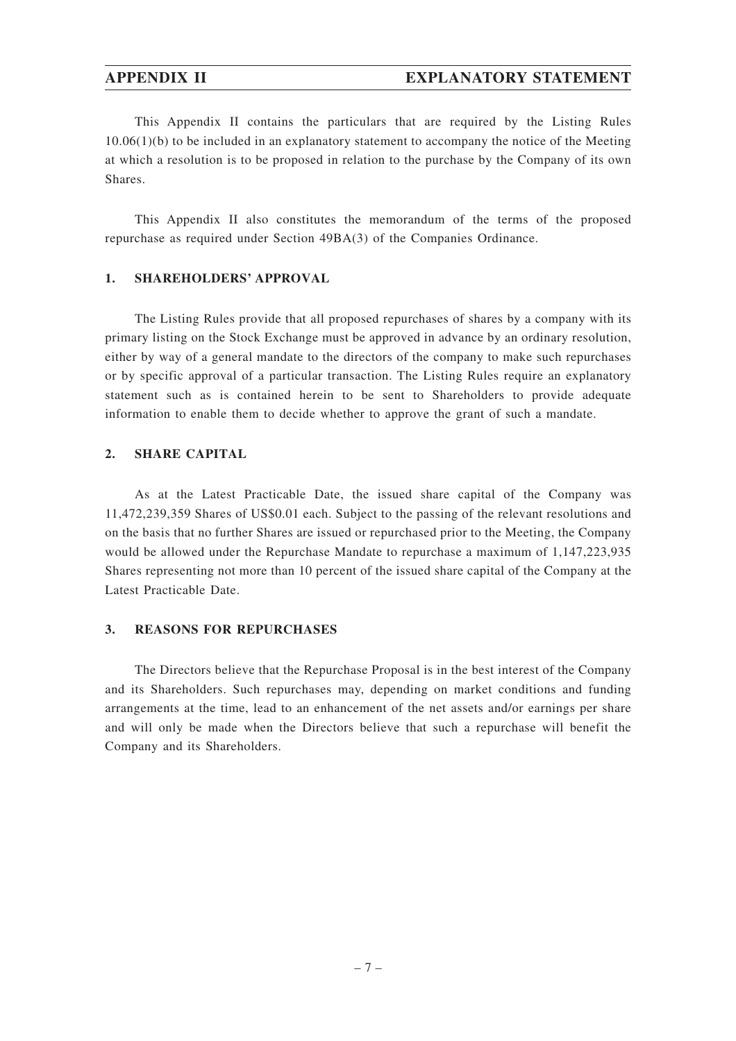### **APPENDIX II EXPLANATORY STATEMENT**

This Appendix II contains the particulars that are required by the Listing Rules  $10.06(1)(b)$  to be included in an explanatory statement to accompany the notice of the Meeting at which a resolution is to be proposed in relation to the purchase by the Company of its own Shares.

This Appendix II also constitutes the memorandum of the terms of the proposed repurchase as required under Section 49BA(3) of the Companies Ordinance.

#### **1. SHAREHOLDERS' APPROVAL**

The Listing Rules provide that all proposed repurchases of shares by a company with its primary listing on the Stock Exchange must be approved in advance by an ordinary resolution, either by way of a general mandate to the directors of the company to make such repurchases or by specific approval of a particular transaction. The Listing Rules require an explanatory statement such as is contained herein to be sent to Shareholders to provide adequate information to enable them to decide whether to approve the grant of such a mandate.

#### **2. SHARE CAPITAL**

As at the Latest Practicable Date, the issued share capital of the Company was 11,472,239,359 Shares of US\$0.01 each. Subject to the passing of the relevant resolutions and on the basis that no further Shares are issued or repurchased prior to the Meeting, the Company would be allowed under the Repurchase Mandate to repurchase a maximum of 1,147,223,935 Shares representing not more than 10 percent of the issued share capital of the Company at the Latest Practicable Date.

#### **3. REASONS FOR REPURCHASES**

The Directors believe that the Repurchase Proposal is in the best interest of the Company and its Shareholders. Such repurchases may, depending on market conditions and funding arrangements at the time, lead to an enhancement of the net assets and/or earnings per share and will only be made when the Directors believe that such a repurchase will benefit the Company and its Shareholders.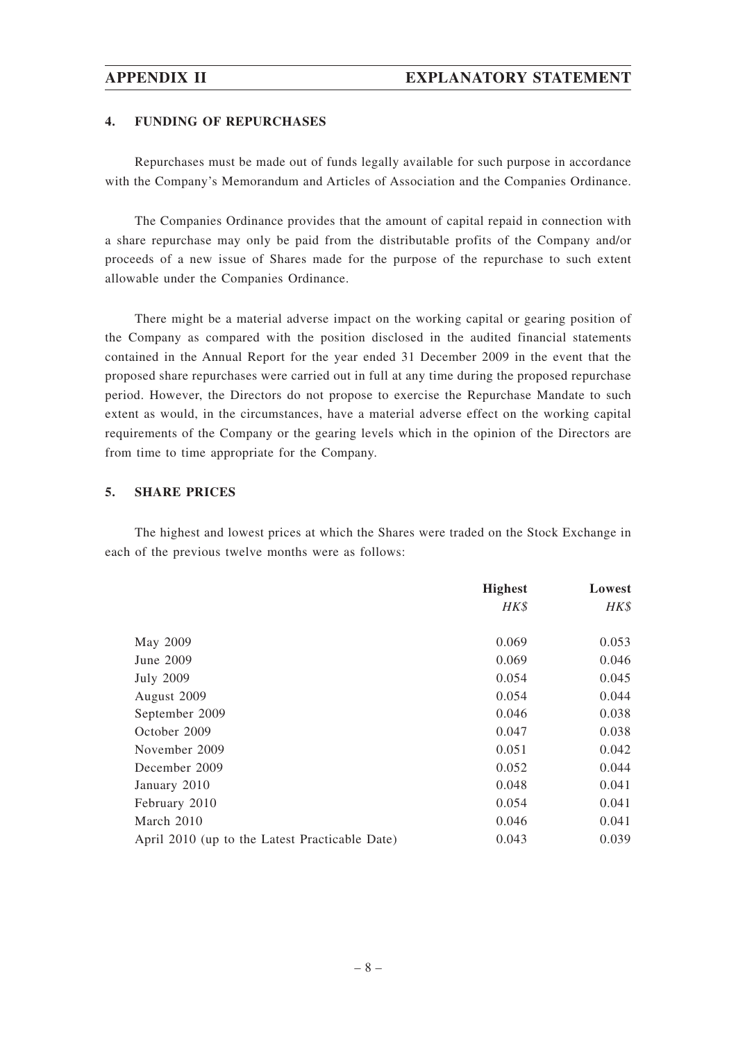#### **4. FUNDING OF REPURCHASES**

Repurchases must be made out of funds legally available for such purpose in accordance with the Company's Memorandum and Articles of Association and the Companies Ordinance.

The Companies Ordinance provides that the amount of capital repaid in connection with a share repurchase may only be paid from the distributable profits of the Company and/or proceeds of a new issue of Shares made for the purpose of the repurchase to such extent allowable under the Companies Ordinance.

There might be a material adverse impact on the working capital or gearing position of the Company as compared with the position disclosed in the audited financial statements contained in the Annual Report for the year ended 31 December 2009 in the event that the proposed share repurchases were carried out in full at any time during the proposed repurchase period. However, the Directors do not propose to exercise the Repurchase Mandate to such extent as would, in the circumstances, have a material adverse effect on the working capital requirements of the Company or the gearing levels which in the opinion of the Directors are from time to time appropriate for the Company.

#### **5. SHARE PRICES**

The highest and lowest prices at which the Shares were traded on the Stock Exchange in each of the previous twelve months were as follows:

|                                                | <b>Highest</b> | Lowest |
|------------------------------------------------|----------------|--------|
|                                                | HK\$           | HK\$   |
|                                                |                |        |
| May 2009                                       | 0.069          | 0.053  |
| June 2009                                      | 0.069          | 0.046  |
| <b>July 2009</b>                               | 0.054          | 0.045  |
| August 2009                                    | 0.054          | 0.044  |
| September 2009                                 | 0.046          | 0.038  |
| October 2009                                   | 0.047          | 0.038  |
| November 2009                                  | 0.051          | 0.042  |
| December 2009                                  | 0.052          | 0.044  |
| January 2010                                   | 0.048          | 0.041  |
| February 2010                                  | 0.054          | 0.041  |
| March 2010                                     | 0.046          | 0.041  |
| April 2010 (up to the Latest Practicable Date) | 0.043          | 0.039  |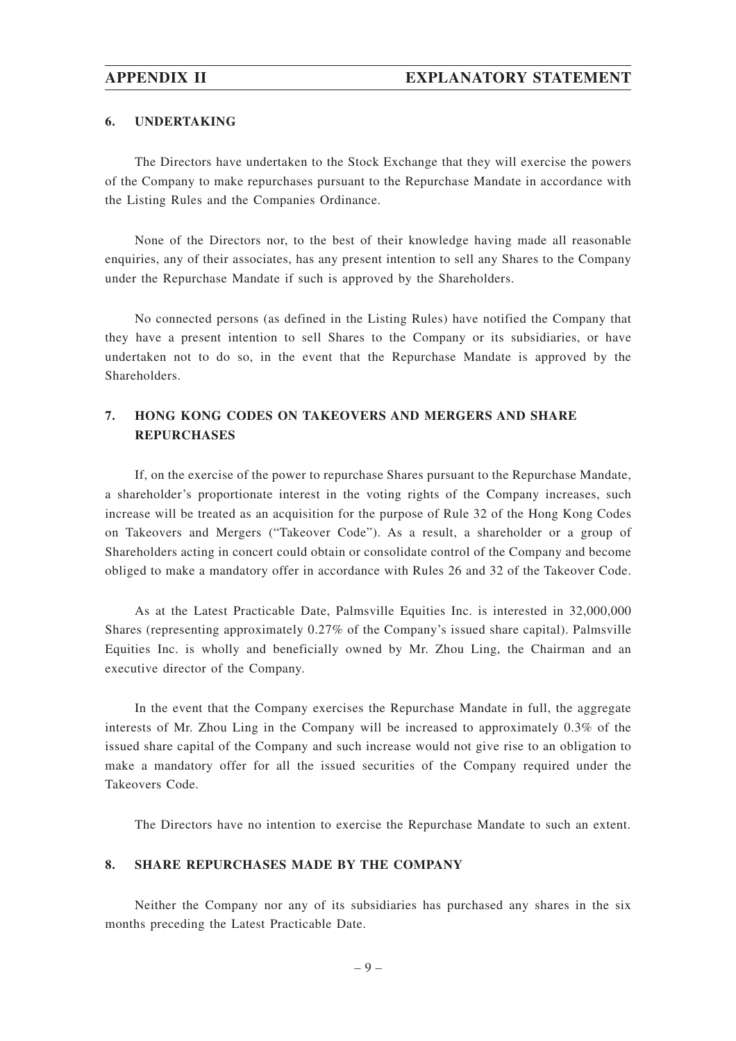#### **6. UNDERTAKING**

The Directors have undertaken to the Stock Exchange that they will exercise the powers of the Company to make repurchases pursuant to the Repurchase Mandate in accordance with the Listing Rules and the Companies Ordinance.

None of the Directors nor, to the best of their knowledge having made all reasonable enquiries, any of their associates, has any present intention to sell any Shares to the Company under the Repurchase Mandate if such is approved by the Shareholders.

No connected persons (as defined in the Listing Rules) have notified the Company that they have a present intention to sell Shares to the Company or its subsidiaries, or have undertaken not to do so, in the event that the Repurchase Mandate is approved by the Shareholders.

# **7. HONG KONG CODES ON TAKEOVERS AND MERGERS AND SHARE REPURCHASES**

If, on the exercise of the power to repurchase Shares pursuant to the Repurchase Mandate, a shareholder's proportionate interest in the voting rights of the Company increases, such increase will be treated as an acquisition for the purpose of Rule 32 of the Hong Kong Codes on Takeovers and Mergers ("Takeover Code"). As a result, a shareholder or a group of Shareholders acting in concert could obtain or consolidate control of the Company and become obliged to make a mandatory offer in accordance with Rules 26 and 32 of the Takeover Code.

As at the Latest Practicable Date, Palmsville Equities Inc. is interested in 32,000,000 Shares (representing approximately 0.27% of the Company's issued share capital). Palmsville Equities Inc. is wholly and beneficially owned by Mr. Zhou Ling, the Chairman and an executive director of the Company.

In the event that the Company exercises the Repurchase Mandate in full, the aggregate interests of Mr. Zhou Ling in the Company will be increased to approximately 0.3% of the issued share capital of the Company and such increase would not give rise to an obligation to make a mandatory offer for all the issued securities of the Company required under the Takeovers Code.

The Directors have no intention to exercise the Repurchase Mandate to such an extent.

#### **8. SHARE REPURCHASES MADE BY THE COMPANY**

Neither the Company nor any of its subsidiaries has purchased any shares in the six months preceding the Latest Practicable Date.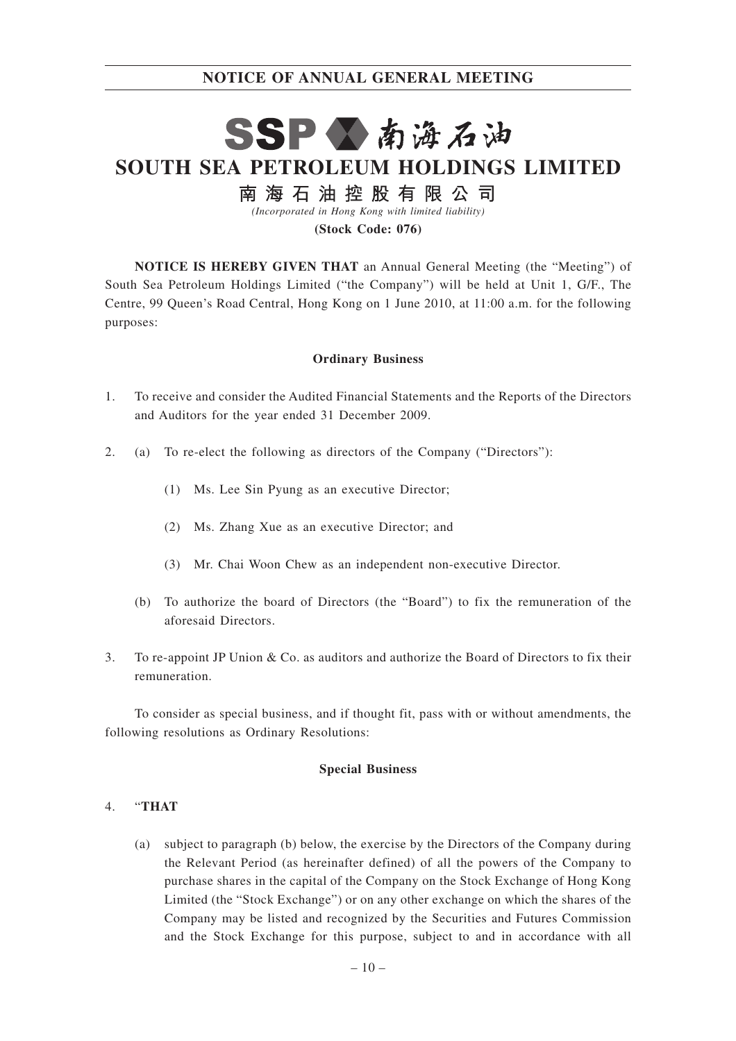# SSP公南海石油 **SOUTH SEA PETROLEUM HOLDINGS LIMITED**

南海石油控股有限公司

*(Incorporated in Hong Kong with limited liability)*

**(Stock Code: 076)**

**NOTICE IS HEREBY GIVEN THAT** an Annual General Meeting (the "Meeting") of South Sea Petroleum Holdings Limited ("the Company") will be held at Unit 1, G/F., The Centre, 99 Queen's Road Central, Hong Kong on 1 June 2010, at 11:00 a.m. for the following purposes:

#### **Ordinary Business**

- 1. To receive and consider the Audited Financial Statements and the Reports of the Directors and Auditors for the year ended 31 December 2009.
- 2. (a) To re-elect the following as directors of the Company ("Directors"):
	- (1) Ms. Lee Sin Pyung as an executive Director;
	- (2) Ms. Zhang Xue as an executive Director; and
	- (3) Mr. Chai Woon Chew as an independent non-executive Director.
	- (b) To authorize the board of Directors (the "Board") to fix the remuneration of the aforesaid Directors.
- 3. To re-appoint JP Union & Co. as auditors and authorize the Board of Directors to fix their remuneration.

To consider as special business, and if thought fit, pass with or without amendments, the following resolutions as Ordinary Resolutions:

#### **Special Business**

#### 4. "**THAT**

(a) subject to paragraph (b) below, the exercise by the Directors of the Company during the Relevant Period (as hereinafter defined) of all the powers of the Company to purchase shares in the capital of the Company on the Stock Exchange of Hong Kong Limited (the "Stock Exchange") or on any other exchange on which the shares of the Company may be listed and recognized by the Securities and Futures Commission and the Stock Exchange for this purpose, subject to and in accordance with all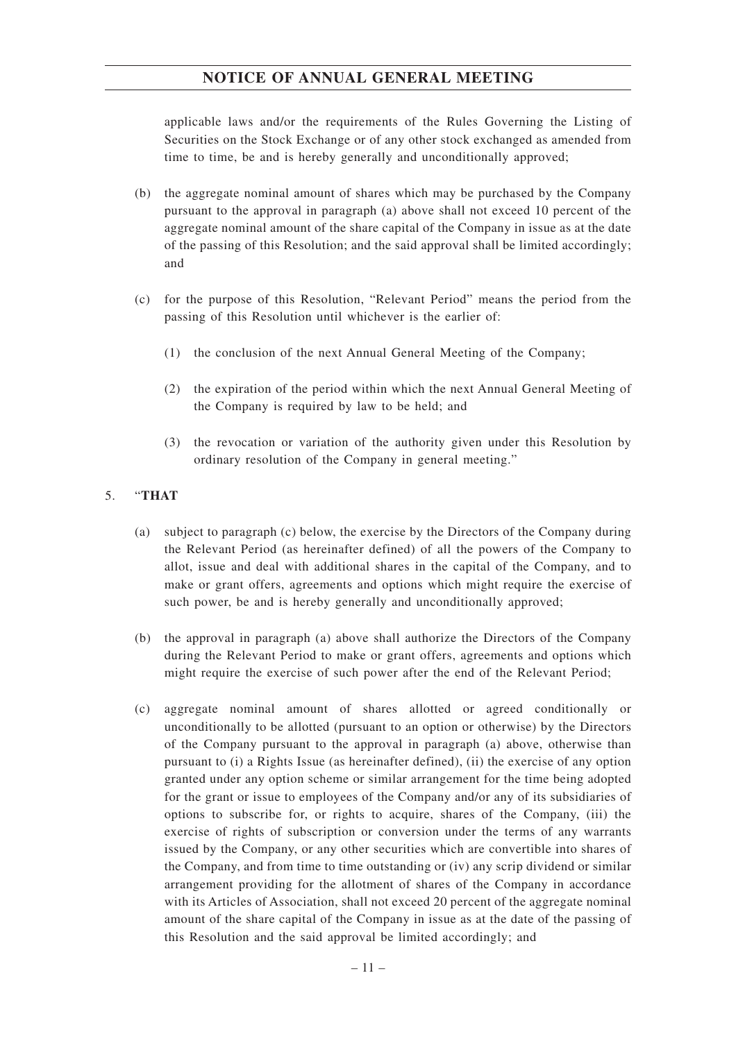applicable laws and/or the requirements of the Rules Governing the Listing of Securities on the Stock Exchange or of any other stock exchanged as amended from time to time, be and is hereby generally and unconditionally approved;

- (b) the aggregate nominal amount of shares which may be purchased by the Company pursuant to the approval in paragraph (a) above shall not exceed 10 percent of the aggregate nominal amount of the share capital of the Company in issue as at the date of the passing of this Resolution; and the said approval shall be limited accordingly; and
- (c) for the purpose of this Resolution, "Relevant Period" means the period from the passing of this Resolution until whichever is the earlier of:
	- (1) the conclusion of the next Annual General Meeting of the Company;
	- (2) the expiration of the period within which the next Annual General Meeting of the Company is required by law to be held; and
	- (3) the revocation or variation of the authority given under this Resolution by ordinary resolution of the Company in general meeting."

### 5. "**THAT**

- (a) subject to paragraph (c) below, the exercise by the Directors of the Company during the Relevant Period (as hereinafter defined) of all the powers of the Company to allot, issue and deal with additional shares in the capital of the Company, and to make or grant offers, agreements and options which might require the exercise of such power, be and is hereby generally and unconditionally approved;
- (b) the approval in paragraph (a) above shall authorize the Directors of the Company during the Relevant Period to make or grant offers, agreements and options which might require the exercise of such power after the end of the Relevant Period;
- (c) aggregate nominal amount of shares allotted or agreed conditionally or unconditionally to be allotted (pursuant to an option or otherwise) by the Directors of the Company pursuant to the approval in paragraph (a) above, otherwise than pursuant to (i) a Rights Issue (as hereinafter defined), (ii) the exercise of any option granted under any option scheme or similar arrangement for the time being adopted for the grant or issue to employees of the Company and/or any of its subsidiaries of options to subscribe for, or rights to acquire, shares of the Company, (iii) the exercise of rights of subscription or conversion under the terms of any warrants issued by the Company, or any other securities which are convertible into shares of the Company, and from time to time outstanding or (iv) any scrip dividend or similar arrangement providing for the allotment of shares of the Company in accordance with its Articles of Association, shall not exceed 20 percent of the aggregate nominal amount of the share capital of the Company in issue as at the date of the passing of this Resolution and the said approval be limited accordingly; and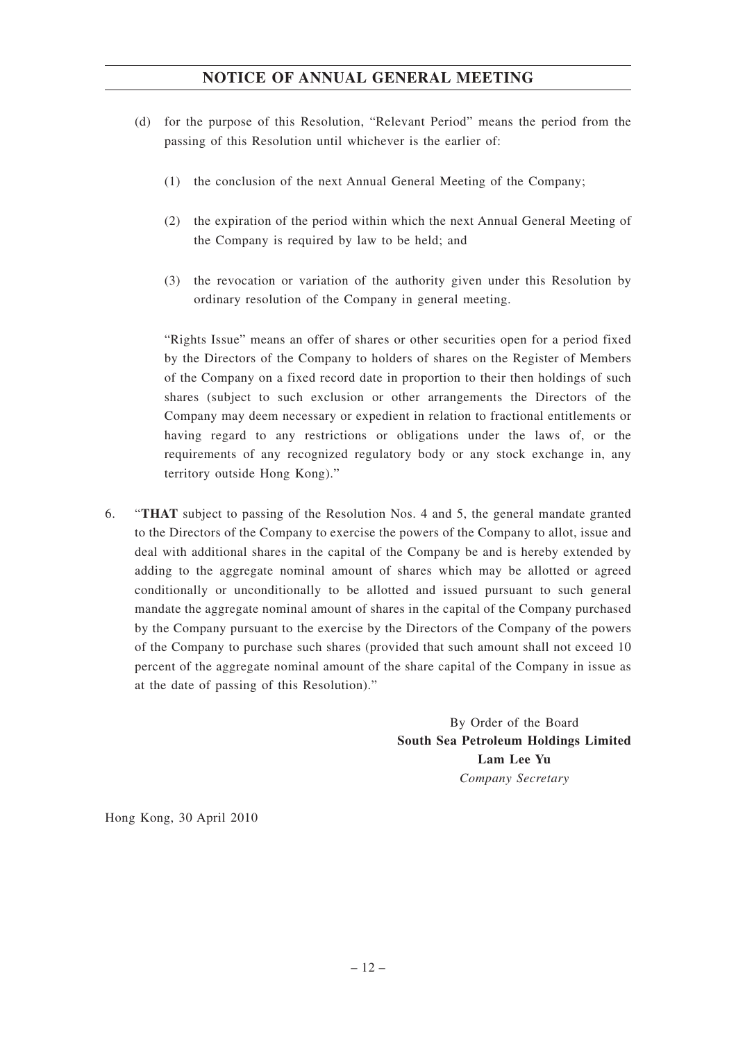- (d) for the purpose of this Resolution, "Relevant Period" means the period from the passing of this Resolution until whichever is the earlier of:
	- (1) the conclusion of the next Annual General Meeting of the Company;
	- (2) the expiration of the period within which the next Annual General Meeting of the Company is required by law to be held; and
	- (3) the revocation or variation of the authority given under this Resolution by ordinary resolution of the Company in general meeting.

"Rights Issue" means an offer of shares or other securities open for a period fixed by the Directors of the Company to holders of shares on the Register of Members of the Company on a fixed record date in proportion to their then holdings of such shares (subject to such exclusion or other arrangements the Directors of the Company may deem necessary or expedient in relation to fractional entitlements or having regard to any restrictions or obligations under the laws of, or the requirements of any recognized regulatory body or any stock exchange in, any territory outside Hong Kong)."

6. "**THAT** subject to passing of the Resolution Nos. 4 and 5, the general mandate granted to the Directors of the Company to exercise the powers of the Company to allot, issue and deal with additional shares in the capital of the Company be and is hereby extended by adding to the aggregate nominal amount of shares which may be allotted or agreed conditionally or unconditionally to be allotted and issued pursuant to such general mandate the aggregate nominal amount of shares in the capital of the Company purchased by the Company pursuant to the exercise by the Directors of the Company of the powers of the Company to purchase such shares (provided that such amount shall not exceed 10 percent of the aggregate nominal amount of the share capital of the Company in issue as at the date of passing of this Resolution)."

> By Order of the Board **South Sea Petroleum Holdings Limited Lam Lee Yu** *Company Secretary*

Hong Kong, 30 April 2010